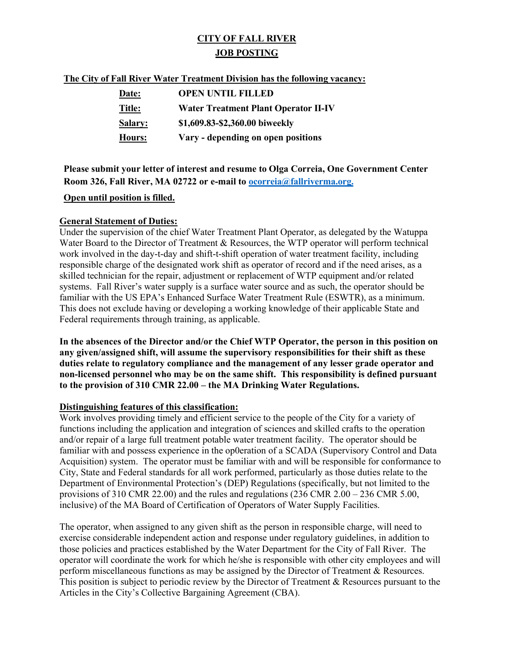# **CITY OF FALL RIVER JOB POSTING**

#### **The City of Fall River Water Treatment Division has the following vacancy:**

| <b>Date:</b>   | <b>OPEN UNTIL FILLED</b>                    |
|----------------|---------------------------------------------|
| Title:         | <b>Water Treatment Plant Operator II-IV</b> |
| <b>Salary:</b> | \$1,609.83-\$2,360.00 biweekly              |
| Hours:         | Vary - depending on open positions          |

**Please submit your letter of interest and resume to Olga Correia, One Government Center Room 326, Fall River, MA 02722 or e-mail to [ocorreia@fallriverma.org.](mailto:ocorreia@fallriverma.org.)**

### **Open until position is filled.**

### **General Statement of Duties:**

Under the supervision of the chief Water Treatment Plant Operator, as delegated by the Watuppa Water Board to the Director of Treatment & Resources, the WTP operator will perform technical work involved in the day-t-day and shift-t-shift operation of water treatment facility, including responsible charge of the designated work shift as operator of record and if the need arises, as a skilled technician for the repair, adjustment or replacement of WTP equipment and/or related systems. Fall River's water supply is a surface water source and as such, the operator should be familiar with the US EPA's Enhanced Surface Water Treatment Rule (ESWTR), as a minimum. This does not exclude having or developing a working knowledge of their applicable State and Federal requirements through training, as applicable.

**In the absences of the Director and/or the Chief WTP Operator, the person in this position on any given/assigned shift, will assume the supervisory responsibilities for their shift as these duties relate to regulatory compliance and the management of any lesser grade operator and non-licensed personnel who may be on the same shift. This responsibility is defined pursuant to the provision of 310 CMR 22.00 – the MA Drinking Water Regulations.**

### **Distinguishing features of this classification:**

Work involves providing timely and efficient service to the people of the City for a variety of functions including the application and integration of sciences and skilled crafts to the operation and/or repair of a large full treatment potable water treatment facility. The operator should be familiar with and possess experience in the op0eration of a SCADA (Supervisory Control and Data Acquisition) system. The operator must be familiar with and will be responsible for conformance to City, State and Federal standards for all work performed, particularly as those duties relate to the Department of Environmental Protection's (DEP) Regulations (specifically, but not limited to the provisions of 310 CMR 22.00) and the rules and regulations (236 CMR 2.00 – 236 CMR 5.00, inclusive) of the MA Board of Certification of Operators of Water Supply Facilities.

The operator, when assigned to any given shift as the person in responsible charge, will need to exercise considerable independent action and response under regulatory guidelines, in addition to those policies and practices established by the Water Department for the City of Fall River. The operator will coordinate the work for which he/she is responsible with other city employees and will perform miscellaneous functions as may be assigned by the Director of Treatment & Resources. This position is subject to periodic review by the Director of Treatment & Resources pursuant to the Articles in the City's Collective Bargaining Agreement (CBA).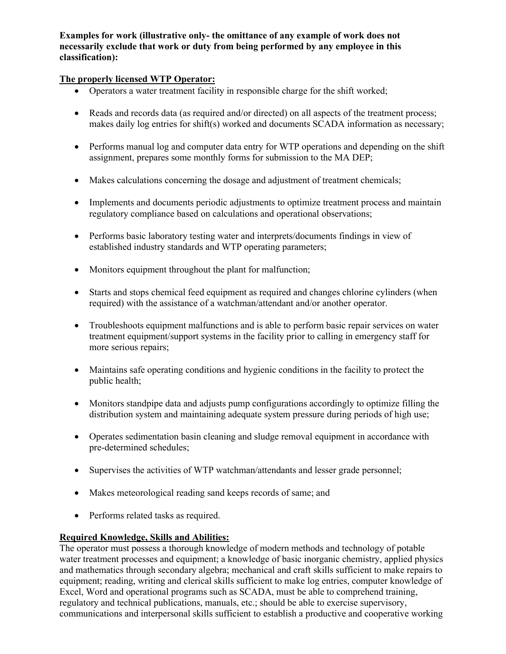**Examples for work (illustrative only- the omittance of any example of work does not necessarily exclude that work or duty from being performed by any employee in this classification):**

## **The properly licensed WTP Operator:**

- Operators a water treatment facility in responsible charge for the shift worked;
- Reads and records data (as required and/or directed) on all aspects of the treatment process; makes daily log entries for shift(s) worked and documents SCADA information as necessary;
- Performs manual log and computer data entry for WTP operations and depending on the shift assignment, prepares some monthly forms for submission to the MA DEP;
- Makes calculations concerning the dosage and adjustment of treatment chemicals;
- Implements and documents periodic adjustments to optimize treatment process and maintain regulatory compliance based on calculations and operational observations;
- Performs basic laboratory testing water and interprets/documents findings in view of established industry standards and WTP operating parameters;
- Monitors equipment throughout the plant for malfunction;
- Starts and stops chemical feed equipment as required and changes chlorine cylinders (when required) with the assistance of a watchman/attendant and/or another operator.
- Troubleshoots equipment malfunctions and is able to perform basic repair services on water treatment equipment/support systems in the facility prior to calling in emergency staff for more serious repairs;
- Maintains safe operating conditions and hygienic conditions in the facility to protect the public health;
- Monitors standpipe data and adjusts pump configurations accordingly to optimize filling the distribution system and maintaining adequate system pressure during periods of high use;
- Operates sedimentation basin cleaning and sludge removal equipment in accordance with pre-determined schedules;
- Supervises the activities of WTP watchman/attendants and lesser grade personnel;
- Makes meteorological reading sand keeps records of same; and
- Performs related tasks as required.

### **Required Knowledge, Skills and Abilities:**

The operator must possess a thorough knowledge of modern methods and technology of potable water treatment processes and equipment; a knowledge of basic inorganic chemistry, applied physics and mathematics through secondary algebra; mechanical and craft skills sufficient to make repairs to equipment; reading, writing and clerical skills sufficient to make log entries, computer knowledge of Excel, Word and operational programs such as SCADA, must be able to comprehend training, regulatory and technical publications, manuals, etc.; should be able to exercise supervisory, communications and interpersonal skills sufficient to establish a productive and cooperative working